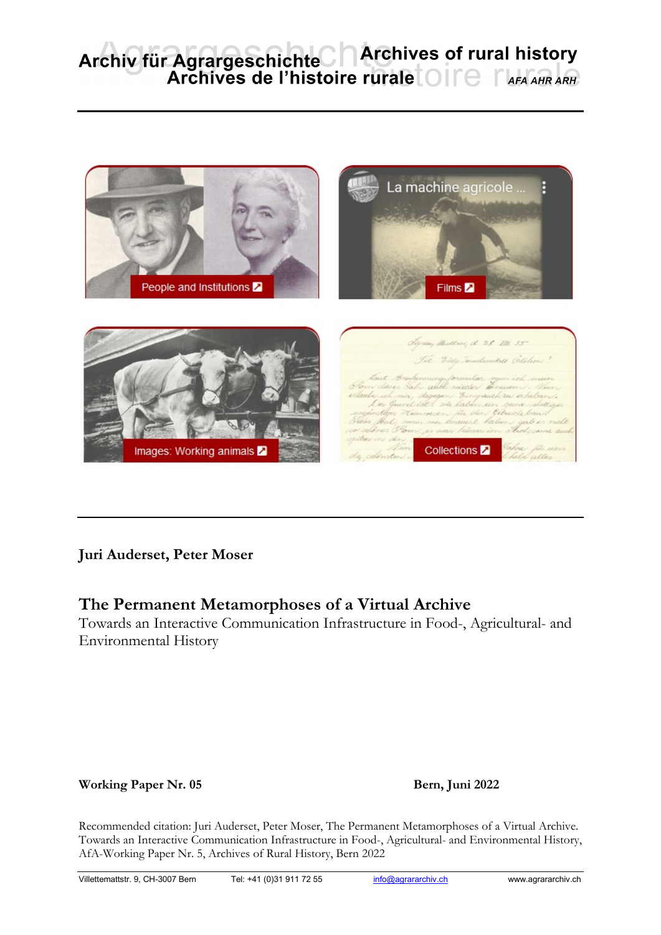# Archiv für Agrargeschichte Archives of rural history<br>Archives de l'histoire rurale OITe AFA AHR ARH



## **Juri Auderset, Peter Moser**

## **The Permanent Metamorphoses of a Virtual Archive**

Towards an Interactive Communication Infrastructure in Food-, Agricultural- and Environmental History

### Working Paper Nr. 05 **Bern, Juni 2022**

Recommended citation: Juri Auderset, Peter Moser, The Permanent Metamorphoses of a Virtual Archive. Towards an Interactive Communication Infrastructure in Food-, Agricultural- and Environmental History, AfA-Working Paper Nr. 5, Archives of Rural History, Bern 2022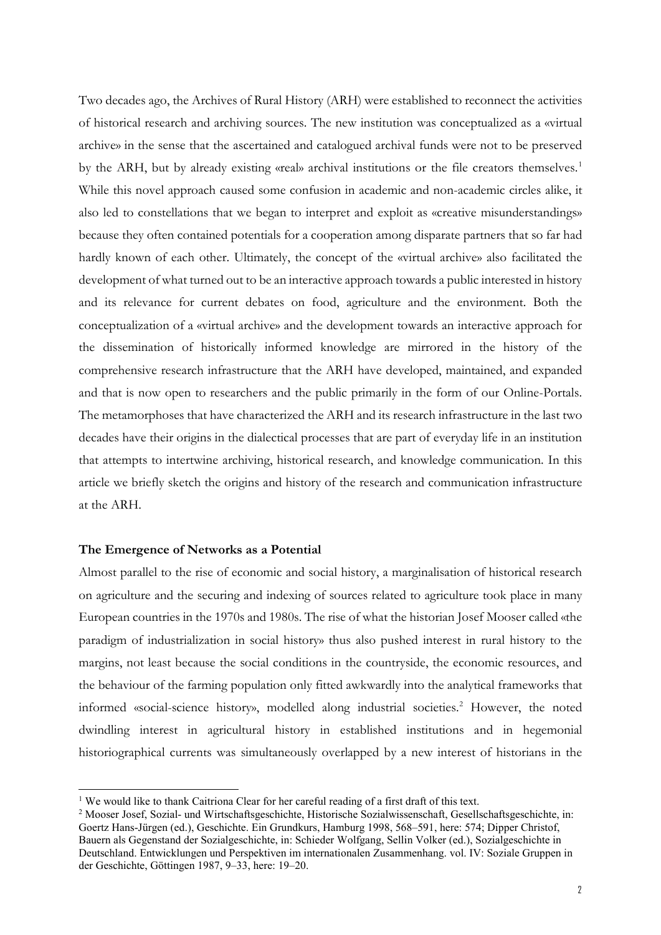Two decades ago, the Archives of Rural History (ARH) were established to reconnect the activities of historical research and archiving sources. The new institution was conceptualized as a «virtual archive» in the sense that the ascertained and catalogued archival funds were not to be preserved by the ARH, but by already existing «real» archival institutions or the file creators themselves.<sup>[1](#page-1-0)</sup> While this novel approach caused some confusion in academic and non-academic circles alike, it also led to constellations that we began to interpret and exploit as «creative misunderstandings» because they often contained potentials for a cooperation among disparate partners that so far had hardly known of each other. Ultimately, the concept of the «virtual archive» also facilitated the development of what turned out to be an interactive approach towards a public interested in history and its relevance for current debates on food, agriculture and the environment. Both the conceptualization of a «virtual archive» and the development towards an interactive approach for the dissemination of historically informed knowledge are mirrored in the history of the comprehensive research infrastructure that the ARH have developed, maintained, and expanded and that is now open to researchers and the public primarily in the form of our Online-Portals. The metamorphoses that have characterized the ARH and its research infrastructure in the last two decades have their origins in the dialectical processes that are part of everyday life in an institution that attempts to intertwine archiving, historical research, and knowledge communication. In this article we briefly sketch the origins and history of the research and communication infrastructure at the ARH.

#### **The Emergence of Networks as a Potential**

Almost parallel to the rise of economic and social history, a marginalisation of historical research on agriculture and the securing and indexing of sources related to agriculture took place in many European countries in the 1970s and 1980s. The rise of what the historian Josef Mooser called «the paradigm of industrialization in social history» thus also pushed interest in rural history to the margins, not least because the social conditions in the countryside, the economic resources, and the behaviour of the farming population only fitted awkwardly into the analytical frameworks that informed «social-science history», modelled along industrial societies.<sup>[2](#page-1-1)</sup> However, the noted dwindling interest in agricultural history in established institutions and in hegemonial historiographical currents was simultaneously overlapped by a new interest of historians in the

<sup>&</sup>lt;sup>1</sup> We would like to thank Caitriona Clear for her careful reading of a first draft of this text.

<span id="page-1-1"></span><span id="page-1-0"></span><sup>2</sup> Mooser Josef, Sozial- und Wirtschaftsgeschichte, Historische Sozialwissenschaft, Gesellschaftsgeschichte, in: Goertz Hans-Jürgen (ed.), Geschichte. Ein Grundkurs, Hamburg 1998, 568–591, here: 574; Dipper Christof, Bauern als Gegenstand der Sozialgeschichte, in: Schieder Wolfgang, Sellin Volker (ed.), Sozialgeschichte in Deutschland. Entwicklungen und Perspektiven im internationalen Zusammenhang. vol. IV: Soziale Gruppen in der Geschichte, Göttingen 1987, 9–33, here: 19–20.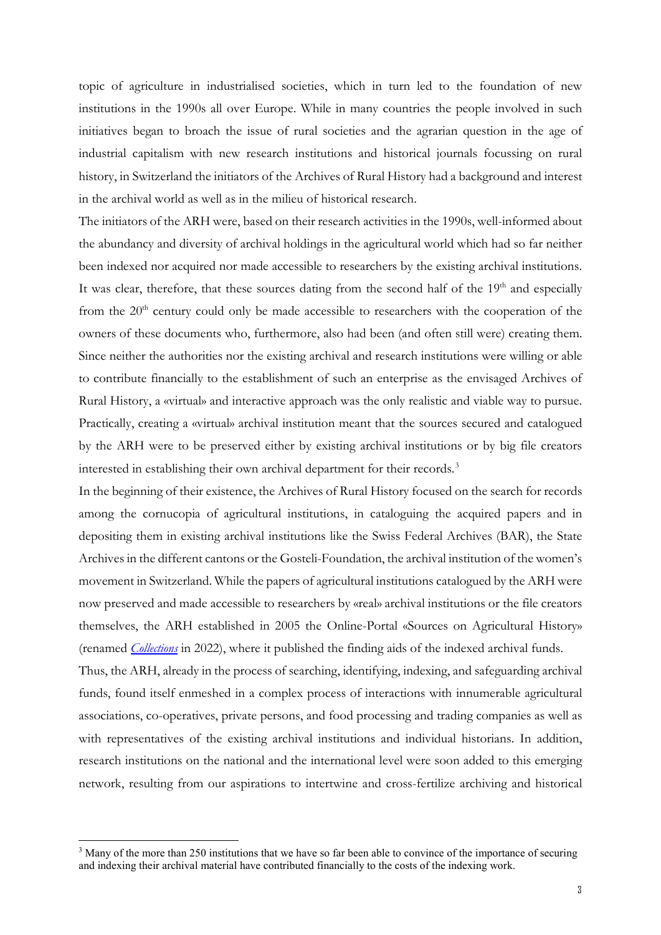topic of agriculture in industrialised societies, which in turn led to the foundation of new institutions in the 1990s all over Europe. While in many countries the people involved in such initiatives began to broach the issue of rural societies and the agrarian question in the age of industrial capitalism with new research institutions and historical journals focussing on rural history, in Switzerland the initiators of the Archives of Rural History had a background and interest in the archival world as well as in the milieu of historical research.

The initiators of the ARH were, based on their research activities in the 1990s, well-informed about the abundancy and diversity of archival holdings in the agricultural world which had so far neither been indexed nor acquired nor made accessible to researchers by the existing archival institutions. It was clear, therefore, that these sources dating from the second half of the 19<sup>th</sup> and especially from the  $20<sup>th</sup>$  century could only be made accessible to researchers with the cooperation of the owners of these documents who, furthermore, also had been (and often still were) creating them. Since neither the authorities nor the existing archival and research institutions were willing or able to contribute financially to the establishment of such an enterprise as the envisaged Archives of Rural History, a «virtual» and interactive approach was the only realistic and viable way to pursue. Practically, creating a «virtual» archival institution meant that the sources secured and catalogued by the ARH were to be preserved either by existing archival institutions or by big file creators interested in establishing their own archival department for their records.<sup>[3](#page-2-0)</sup>

In the beginning of their existence, the Archives of Rural History focused on the search for records among the cornucopia of agricultural institutions, in cataloguing the acquired papers and in depositing them in existing archival institutions like the Swiss Federal Archives (BAR), the State Archives in the different cantons or the Gosteli-Foundation, the archival institution of the women's movement in Switzerland. While the papers of agricultural institutions catalogued by the ARH were now preserved and made accessible to researchers by «real» archival institutions or the file creators themselves, the ARH established in 2005 the Online-Portal «Sources on Agricultural History» (renamed *[Collections](https://www.sources-histoirerurale.ch/ahr)* in 2022), where it published the finding aids of the indexed archival funds.

Thus, the ARH, already in the process of searching, identifying, indexing, and safeguarding archival funds, found itself enmeshed in a complex process of interactions with innumerable agricultural associations, co-operatives, private persons, and food processing and trading companies as well as with representatives of the existing archival institutions and individual historians. In addition, research institutions on the national and the international level were soon added to this emerging network, resulting from our aspirations to intertwine and cross-fertilize archiving and historical

<span id="page-2-0"></span><sup>&</sup>lt;sup>3</sup> Many of the more than 250 institutions that we have so far been able to convince of the importance of securing and indexing their archival material have contributed financially to the costs of the indexing work.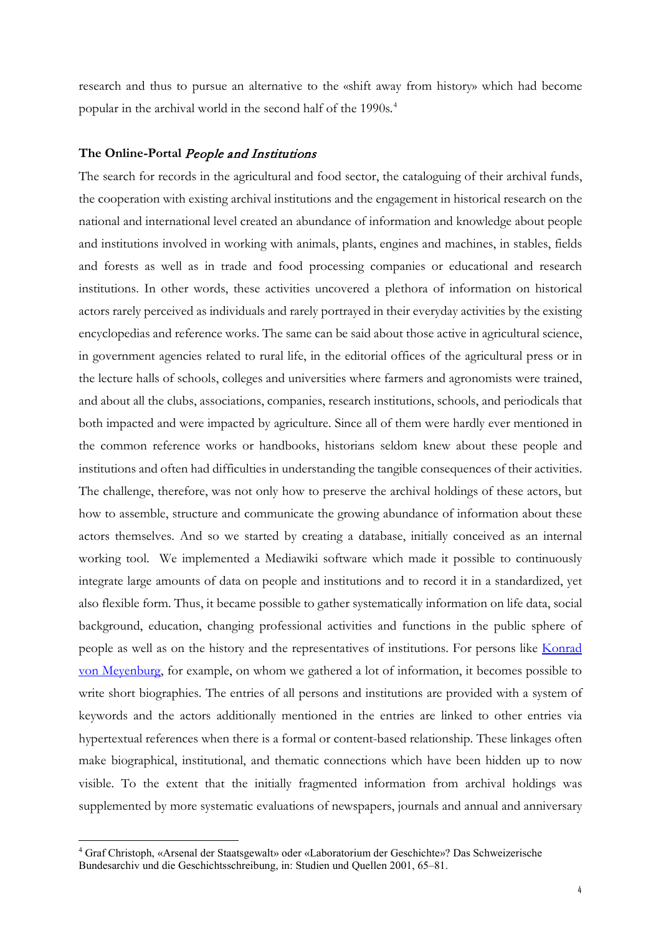research and thus to pursue an alternative to the «shift away from history» which had become popular in the archival world in the second half of the 1990s.<sup>[4](#page-3-0)</sup>

#### **The Online-Portal** People and Institutions

The search for records in the agricultural and food sector, the cataloguing of their archival funds, the cooperation with existing archival institutions and the engagement in historical research on the national and international level created an abundance of information and knowledge about people and institutions involved in working with animals, plants, engines and machines, in stables, fields and forests as well as in trade and food processing companies or educational and research institutions. In other words, these activities uncovered a plethora of information on historical actors rarely perceived as individuals and rarely portrayed in their everyday activities by the existing encyclopedias and reference works. The same can be said about those active in agricultural science, in government agencies related to rural life, in the editorial offices of the agricultural press or in the lecture halls of schools, colleges and universities where farmers and agronomists were trained, and about all the clubs, associations, companies, research institutions, schools, and periodicals that both impacted and were impacted by agriculture. Since all of them were hardly ever mentioned in the common reference works or handbooks, historians seldom knew about these people and institutions and often had difficulties in understanding the tangible consequences of their activities. The challenge, therefore, was not only how to preserve the archival holdings of these actors, but how to assemble, structure and communicate the growing abundance of information about these actors themselves. And so we started by creating a database, initially conceived as an internal working tool. We implemented a Mediawiki software which made it possible to continuously integrate large amounts of data on people and institutions and to record it in a standardized, yet also flexible form. Thus, it became possible to gather systematically information on life data, social background, education, changing professional activities and functions in the public sphere of people as well as on the history and the representatives of institutions. For persons like [Konrad](https://www.histoirerurale.ch/pers/personnes/Meyenburg,_Konrad_von_(1870_1952)__DB2359.html)  [von Meyenburg,](https://www.histoirerurale.ch/pers/personnes/Meyenburg,_Konrad_von_(1870_1952)__DB2359.html) for example, on whom we gathered a lot of information, it becomes possible to write short biographies. The entries of all persons and institutions are provided with a system of keywords and the actors additionally mentioned in the entries are linked to other entries via hypertextual references when there is a formal or content-based relationship. These linkages often make biographical, institutional, and thematic connections which have been hidden up to now visible. To the extent that the initially fragmented information from archival holdings was supplemented by more systematic evaluations of newspapers, journals and annual and anniversary

<span id="page-3-0"></span><sup>4</sup> Graf Christoph, «Arsenal der Staatsgewalt» oder «Laboratorium der Geschichte»? Das Schweizerische Bundesarchiv und die Geschichtsschreibung, in: Studien und Quellen 2001, 65–81.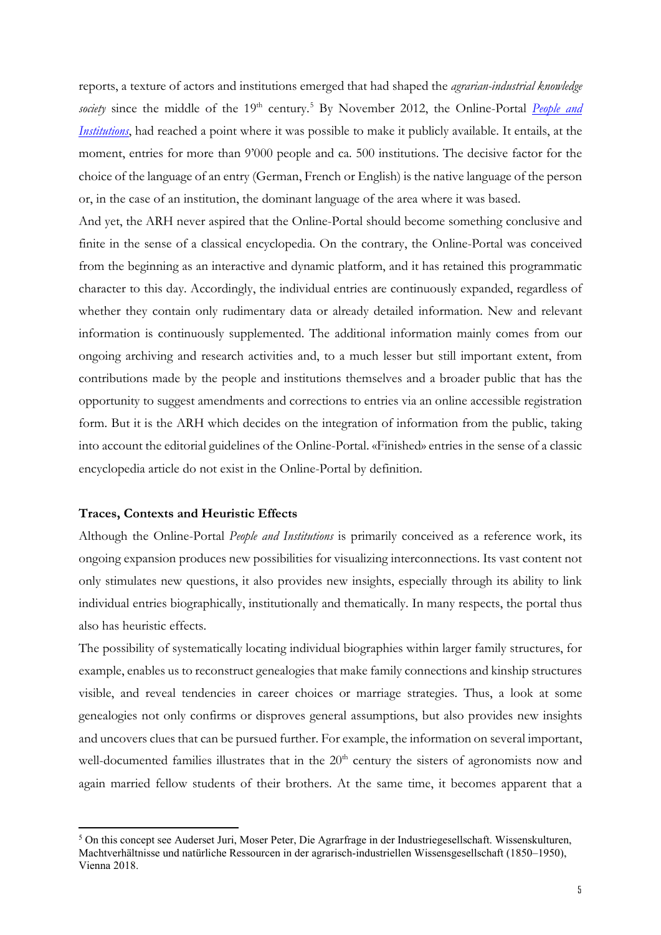reports, a texture of actors and institutions emerged that had shaped the *agrarian-industrial knowledge society* since the middle of the 19<sup>th</sup> century.<sup>[5](#page-4-0)</sup> By November 2012, the Online-Portal *People and [Institutions](https://www.histoirerurale.ch/pers/index2_en.html)*, had reached a point where it was possible to make it publicly available. It entails, at the moment, entries for more than 9'000 people and ca. 500 institutions. The decisive factor for the choice of the language of an entry (German, French or English) is the native language of the person or, in the case of an institution, the dominant language of the area where it was based.

And yet, the ARH never aspired that the Online-Portal should become something conclusive and finite in the sense of a classical encyclopedia. On the contrary, the Online-Portal was conceived from the beginning as an interactive and dynamic platform, and it has retained this programmatic character to this day. Accordingly, the individual entries are continuously expanded, regardless of whether they contain only rudimentary data or already detailed information. New and relevant information is continuously supplemented. The additional information mainly comes from our ongoing archiving and research activities and, to a much lesser but still important extent, from contributions made by the people and institutions themselves and a broader public that has the opportunity to suggest amendments and corrections to entries via an online accessible registration form. But it is the ARH which decides on the integration of information from the public, taking into account the editorial guidelines of the Online-Portal. «Finished» entries in the sense of a classic encyclopedia article do not exist in the Online-Portal by definition.

#### **Traces, Contexts and Heuristic Effects**

-

Although the Online-Portal *People and Institutions* is primarily conceived as a reference work, its ongoing expansion produces new possibilities for visualizing interconnections. Its vast content not only stimulates new questions, it also provides new insights, especially through its ability to link individual entries biographically, institutionally and thematically. In many respects, the portal thus also has heuristic effects.

The possibility of systematically locating individual biographies within larger family structures, for example, enables us to reconstruct genealogies that make family connections and kinship structures visible, and reveal tendencies in career choices or marriage strategies. Thus, a look at some genealogies not only confirms or disproves general assumptions, but also provides new insights and uncovers clues that can be pursued further. For example, the information on several important, well-documented families illustrates that in the  $20<sup>th</sup>$  century the sisters of agronomists now and again married fellow students of their brothers. At the same time, it becomes apparent that a

<span id="page-4-0"></span><sup>5</sup> On this concept see Auderset Juri, Moser Peter, Die Agrarfrage in der Industriegesellschaft. Wissenskulturen, Machtverhältnisse und natürliche Ressourcen in der agrarisch-industriellen Wissensgesellschaft (1850–1950), Vienna 2018.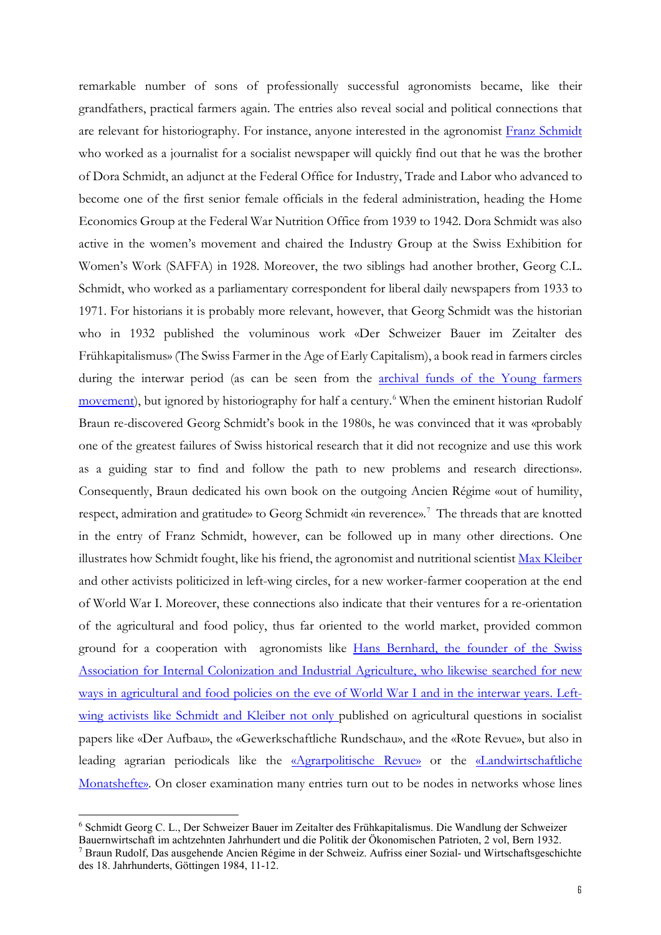remarkable number of sons of professionally successful agronomists became, like their grandfathers, practical farmers again. The entries also reveal social and political connections that are relevant for historiography. For instance, anyone interested in the agronomist [Franz Schmidt](https://www.histoirerurale.ch/pers/personnes/Schmidt,_Franz_(1902_1947)__DB3161.html) who worked as a journalist for a socialist newspaper will quickly find out that he was the brother of Dora Schmidt, an adjunct at the Federal Office for Industry, Trade and Labor who advanced to become one of the first senior female officials in the federal administration, heading the Home Economics Group at the Federal War Nutrition Office from 1939 to 1942. Dora Schmidt was also active in the women's movement and chaired the Industry Group at the Swiss Exhibition for Women's Work (SAFFA) in 1928. Moreover, the two siblings had another brother, Georg C.L. Schmidt, who worked as a parliamentary correspondent for liberal daily newspapers from 1933 to 1971. For historians it is probably more relevant, however, that Georg Schmidt was the historian who in 1932 published the voluminous work «Der Schweizer Bauer im Zeitalter des Frühkapitalismus» (The Swiss Farmer in the Age of Early Capitalism), a book read in farmers circles during the interwar period (as can be seen from the **archival funds** of the Young farmers [movement\)](https://www.histoirerurale.ch/pers/personnes/Bioforum_Schweiz,_AfA307.html), but ignored by historiography for half a century.<sup>[6](#page-5-0)</sup> When the eminent historian Rudolf Braun re-discovered Georg Schmidt's book in the 1980s, he was convinced that it was «probably one of the greatest failures of Swiss historical research that it did not recognize and use this work as a guiding star to find and follow the path to new problems and research directions». Consequently, Braun dedicated his own book on the outgoing Ancien Régime «out of humility, respect, admiration and gratitude» to Georg Schmidt «in reverence».<sup>[7](#page-5-1)</sup> The threads that are knotted in the entry of Franz Schmidt, however, can be followed up in many other directions. One illustrates how Schmidt fought, like his friend, the agronomist and nutritional scientist [Max Kleiber](https://www.histoirerurale.ch/pers/personnes/Kleiber,_Max_(1893_1976)__DB1937.html) and other activists politicized in left-wing circles, for a new worker-farmer cooperation at the end of World War I. Moreover, these connections also indicate that their ventures for a re-orientation of the agricultural and food policy, thus far oriented to the world market, provided common ground for a cooperation with agronomists like [Hans Bernhard,](https://www.histoirerurale.ch/pers/personnes/Bernhard,_Hans_(1888_1942)__DB297.html) the founder of the Swiss Association for Internal Colonization and Industrial Agriculture, who likewise searched for new ways in agricultural and food policies on the eve of World War I and in the interwar years. Leftwing activists like Schmidt and Kleiber not only published on agricultural questions in socialist papers like «Der Aufbau», the «Gewerkschaftliche Rundschau», and the «Rote Revue», but also in leading agrarian periodicals like the [«Agrarpolitische Revue»](https://www.histoirerurale.ch/pers/personnes/Agrarpolitische_Revue,_AfA2194.html) or the [«Landwirtschaftliche](https://www.histoirerurale.ch/pers/personnes/Landwirtschaftliche_Monatshefte,_AfA2148.html)  [Monatshefte».](https://www.histoirerurale.ch/pers/personnes/Landwirtschaftliche_Monatshefte,_AfA2148.html) On closer examination many entries turn out to be nodes in networks whose lines

<span id="page-5-0"></span><sup>6</sup> Schmidt Georg C. L., Der Schweizer Bauer im Zeitalter des Frühkapitalismus. Die Wandlung der Schweizer

<span id="page-5-1"></span>Bauernwirtschaft im achtzehnten Jahrhundert und die Politik der Ökonomischen Patrioten, 2 vol, Bern 1932. 7 Braun Rudolf, Das ausgehende Ancien Régime in der Schweiz. Aufriss einer Sozial- und Wirtschaftsgeschichte

des 18. Jahrhunderts, Göttingen 1984, 11-12.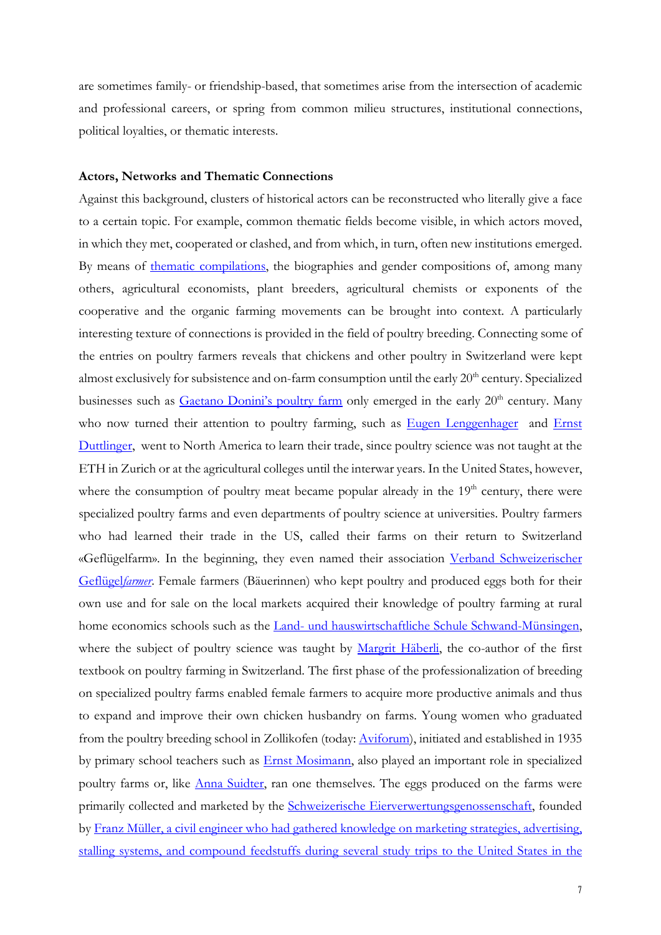are sometimes family- or friendship-based, that sometimes arise from the intersection of academic and professional careers, or spring from common milieu structures, institutional connections, political loyalties, or thematic interests.

#### **Actors, Networks and Thematic Connections**

Against this background, clusters of historical actors can be reconstructed who literally give a face to a certain topic. For example, common thematic fields become visible, in which actors moved, in which they met, cooperated or clashed, and from which, in turn, often new institutions emerged. By means of [thematic compilations,](https://www.histoirerurale.ch/pers/Themen.html) the biographies and gender compositions of, among many others, agricultural economists, plant breeders, agricultural chemists or exponents of the cooperative and the organic farming movements can be brought into context. A particularly interesting texture of connections is provided in the field of poultry breeding. Connecting some of the entries on poultry farmers reveals that chickens and other poultry in Switzerland were kept almost exclusively for subsistence and on-farm consumption until the early 20<sup>th</sup> century. Specialized businesses such as [Gaetano Donini's poultry farm](https://www.histoirerurale.ch/pers/personnes/Donini,_Gaetano_(1874_1926)__DB840.html) only emerged in the early 20<sup>th</sup> century. Many who now turned their attention to poultry farming, such as [Eugen Lenggenhager](https://www.histoirerurale.ch/pers/personnes/Lenggenhager,_Eugen_(1890_1945)__DB6009.html) and Ernst [Duttlinger,](https://www.histoirerurale.ch/pers/personnes/Duttlinger_Rohr,_Ernst_(1901_1971)__DB888.html) went to North America to learn their trade, since poultry science was not taught at the ETH in Zurich or at the agricultural colleges until the interwar years. In the United States, however, where the consumption of poultry meat became popular already in the  $19<sup>th</sup>$  century, there were specialized poultry farms and even departments of poultry science at universities. Poultry farmers who had learned their trade in the US, called their farms on their return to Switzerland «Geflügelfarm». In the beginning, they even named their association [Verband Schweizerischer](https://www.histoirerurale.ch/pers/personnes/Verband_Schweizerischer_Gefluegelhalter_(VSGH),_AfA421.html)  [Geflügel](https://www.histoirerurale.ch/pers/personnes/Verband_Schweizerischer_Gefluegelhalter_(VSGH),_AfA421.html)*farmer*. Female farmers (Bäuerinnen) who kept poultry and produced eggs both for their own use and for sale on the local markets acquired their knowledge of poultry farming at rural home economics schools such as the [Land- und hauswirtschaftliche Schule Schwand-Münsingen,](https://www.histoirerurale.ch/pers/personnes/Land__und_hauswirtschaftliche_Schule_Schwand_Muensingen,_AfA141.html) where the subject of poultry science was taught by [Margrit Häberli,](https://www.histoirerurale.ch/pers/personnes/Haeberli,_Margrit_(1897_)__DB6209.html) the co-author of the first textbook on poultry farming in Switzerland. The first phase of the professionalization of breeding on specialized poultry farms enabled female farmers to acquire more productive animals and thus to expand and improve their own chicken husbandry on farms. Young women who graduated from the poultry breeding school in Zollikofen (today: [Aviforum\)](https://www.histoirerurale.ch/pers/personnes/Aviforum,_AfA87.html), initiated and established in 1935 by primary school teachers such as [Ernst Mosimann,](https://www.histoirerurale.ch/pers/personnes/Mosimann,_Ernst_(1891_1961)__DB2447.html) also played an important role in specialized poultry farms or, like [Anna Suidter,](https://www.histoirerurale.ch/pers/personnes/Suidter,_Anna_(1872_1944)__DB4266.html) ran one themselves. The eggs produced on the farms were primarily collected and marketed by the **Schweizerische Eierverwertungsgenossenschaft**, founded b[y Franz Müller,](https://www.histoirerurale.ch/pers/personnes/Mueller,_Franz_(1868_1944)__DB2473.html) a civil engineer who had gathered knowledge on marketing strategies, advertising, stalling systems, and compound feedstuffs during several study trips to the United States in the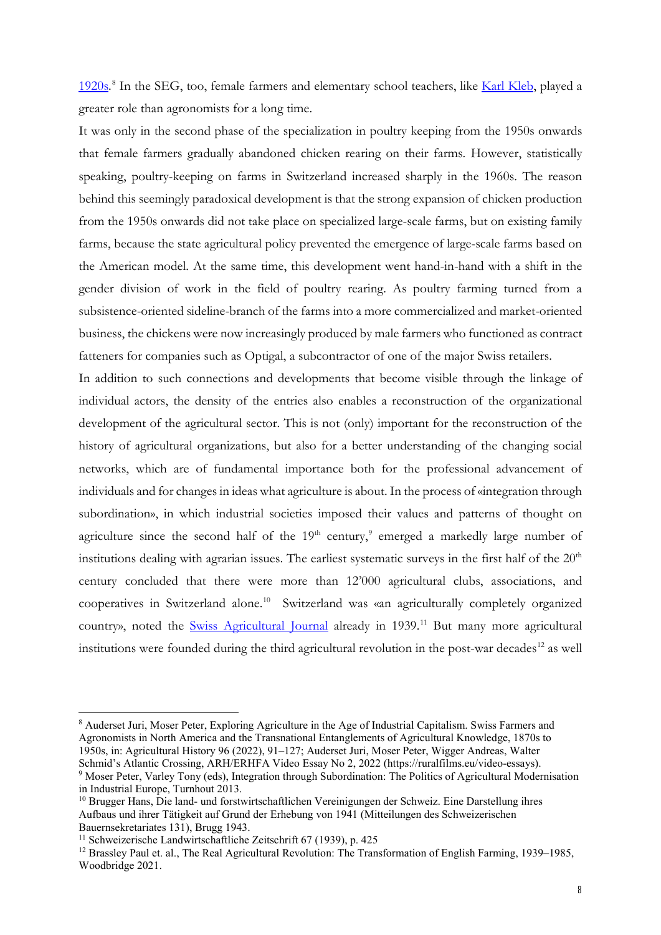1920s.<sup>[8](#page-7-0)</sup> In the SEG, too, female farmers and elementary school teachers, like [Karl Kleb,](https://www.histoirerurale.ch/pers/personnes/Kleb,_Karl_(_1960)__DB1936.html) played a greater role than agronomists for a long time.

It was only in the second phase of the specialization in poultry keeping from the 1950s onwards that female farmers gradually abandoned chicken rearing on their farms. However, statistically speaking, poultry-keeping on farms in Switzerland increased sharply in the 1960s. The reason behind this seemingly paradoxical development is that the strong expansion of chicken production from the 1950s onwards did not take place on specialized large-scale farms, but on existing family farms, because the state agricultural policy prevented the emergence of large-scale farms based on the American model. At the same time, this development went hand-in-hand with a shift in the gender division of work in the field of poultry rearing. As poultry farming turned from a subsistence-oriented sideline-branch of the farms into a more commercialized and market-oriented business, the chickens were now increasingly produced by male farmers who functioned as contract fatteners for companies such as Optigal, a subcontractor of one of the major Swiss retailers.

In addition to such connections and developments that become visible through the linkage of individual actors, the density of the entries also enables a reconstruction of the organizational development of the agricultural sector. This is not (only) important for the reconstruction of the history of agricultural organizations, but also for a better understanding of the changing social networks, which are of fundamental importance both for the professional advancement of individuals and for changes in ideas what agriculture is about. In the process of «integration through subordination», in which industrial societies imposed their values and patterns of thought on agriculture since the second half of the  $19<sup>th</sup>$  $19<sup>th</sup>$  $19<sup>th</sup>$  century,<sup>9</sup> emerged a markedly large number of institutions dealing with agrarian issues. The earliest systematic surveys in the first half of the  $20<sup>th</sup>$ century concluded that there were more than 12'000 agricultural clubs, associations, and cooperatives in Switzerland alone.[10](#page-7-2) Switzerland was «an agriculturally completely organized country», noted the [Swiss Agricultural Journal](https://www.histoirerurale.ch/pers/personnes/Schweizerische_Landwirtschaftliche_Zeitschrift_(Die_Gruene),_AfA2153.html) already in 1939.<sup>[11](#page-7-3)</sup> But many more agricultural institutions were founded during the third agricultural revolution in the post-war decades<sup>[12](#page-7-4)</sup> as well

-

<span id="page-7-0"></span><sup>8</sup> Auderset Juri, Moser Peter, Exploring Agriculture in the Age of Industrial Capitalism. Swiss Farmers and Agronomists in North America and the Transnational Entanglements of Agricultural Knowledge, 1870s to 1950s, in: Agricultural History 96 (2022), 91–127; Auderset Juri, Moser Peter, Wigger Andreas, Walter

<span id="page-7-1"></span><sup>&</sup>lt;sup>9</sup> Moser Peter, Varley Tony (eds), Integration through Subordination: The Politics of Agricultural Modernisation in Industrial Europe, Turnhout 2013.

<span id="page-7-2"></span><sup>10</sup> Brugger Hans, Die land- und forstwirtschaftlichen Vereinigungen der Schweiz. Eine Darstellung ihres Aufbaus und ihrer Tätigkeit auf Grund der Erhebung von 1941 (Mitteilungen des Schweizerischen Bauernsekretariates 131), Brugg 1943.<br><sup>11</sup> Schweizerische Landwirtschaftliche Zeitschrift 67 (1939), p. 425

<span id="page-7-3"></span>

<span id="page-7-4"></span><sup>12</sup> Brassley Paul et. al., The Real Agricultural Revolution: The Transformation of English Farming, 1939–1985, Woodbridge 2021.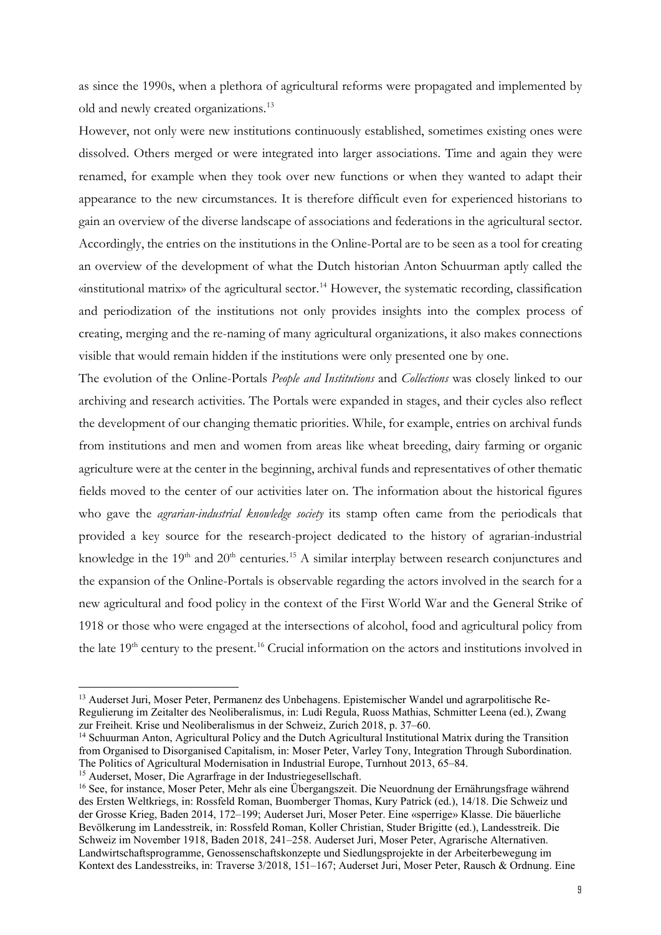as since the 1990s, when a plethora of agricultural reforms were propagated and implemented by old and newly created organizations.[13](#page-8-0)

However, not only were new institutions continuously established, sometimes existing ones were dissolved. Others merged or were integrated into larger associations. Time and again they were renamed, for example when they took over new functions or when they wanted to adapt their appearance to the new circumstances. It is therefore difficult even for experienced historians to gain an overview of the diverse landscape of associations and federations in the agricultural sector. Accordingly, the entries on the institutions in the Online-Portal are to be seen as a tool for creating an overview of the development of what the Dutch historian Anton Schuurman aptly called the  $\alpha$  institutional matrix» of the agricultural sector.<sup>[14](#page-8-1)</sup> However, the systematic recording, classification and periodization of the institutions not only provides insights into the complex process of creating, merging and the re-naming of many agricultural organizations, it also makes connections visible that would remain hidden if the institutions were only presented one by one.

The evolution of the Online-Portals *People and Institutions* and *Collections* was closely linked to our archiving and research activities. The Portals were expanded in stages, and their cycles also reflect the development of our changing thematic priorities. While, for example, entries on archival funds from institutions and men and women from areas like wheat breeding, dairy farming or organic agriculture were at the center in the beginning, archival funds and representatives of other thematic fields moved to the center of our activities later on. The information about the historical figures who gave the *agrarian-industrial knowledge society* its stamp often came from the periodicals that provided a key source for the research-project dedicated to the history of agrarian-industrial knowledge in the  $19<sup>th</sup>$  and  $20<sup>th</sup>$  centuries.<sup>[15](#page-8-2)</sup> A similar interplay between research conjunctures and the expansion of the Online-Portals is observable regarding the actors involved in the search for a new agricultural and food policy in the context of the First World War and the General Strike of 1918 or those who were engaged at the intersections of alcohol, food and agricultural policy from the late 19<sup>th</sup> century to the present.<sup>[16](#page-8-3)</sup> Crucial information on the actors and institutions involved in

<span id="page-8-0"></span> <sup>13</sup> Auderset Juri, Moser Peter, Permanenz des Unbehagens. Epistemischer Wandel und agrarpolitische Re-Regulierung im Zeitalter des Neoliberalismus, in: Ludi Regula, Ruoss Mathias, Schmitter Leena (ed.), Zwang zur Freiheit. Krise und Neoliberalismus in der Schweiz, Zurich 2018, p. 37–60.

<span id="page-8-1"></span> $14$  Schuurman Anton, Agricultural Policy and the Dutch Agricultural Institutional Matrix during the Transition from Organised to Disorganised Capitalism, in: Moser Peter, Varley Tony, Integration Through Subordination. The Politics of Agricultural Modernisation in Industrial Europe, Turnhout 2013, 65–84. <sup>15</sup> Auderset, Moser, Die Agrarfrage in der Industriegesellschaft.

<span id="page-8-3"></span><span id="page-8-2"></span><sup>&</sup>lt;sup>16</sup> See, for instance, Moser Peter, Mehr als eine Übergangszeit. Die Neuordnung der Ernährungsfrage während des Ersten Weltkriegs, in: Rossfeld Roman, Buomberger Thomas, Kury Patrick (ed.), 14/18. Die Schweiz und der Grosse Krieg, Baden 2014, 172–199; Auderset Juri, Moser Peter. Eine «sperrige» Klasse. Die bäuerliche Bevölkerung im Landesstreik, in: Rossfeld Roman, Koller Christian, Studer Brigitte (ed.), Landesstreik. Die Schweiz im November 1918, Baden 2018, 241–258. Auderset Juri, Moser Peter, Agrarische Alternativen. Landwirtschaftsprogramme, Genossenschaftskonzepte und Siedlungsprojekte in der Arbeiterbewegung im Kontext des Landesstreiks, in: Traverse 3/2018, 151–167; Auderset Juri, Moser Peter, Rausch & Ordnung. Eine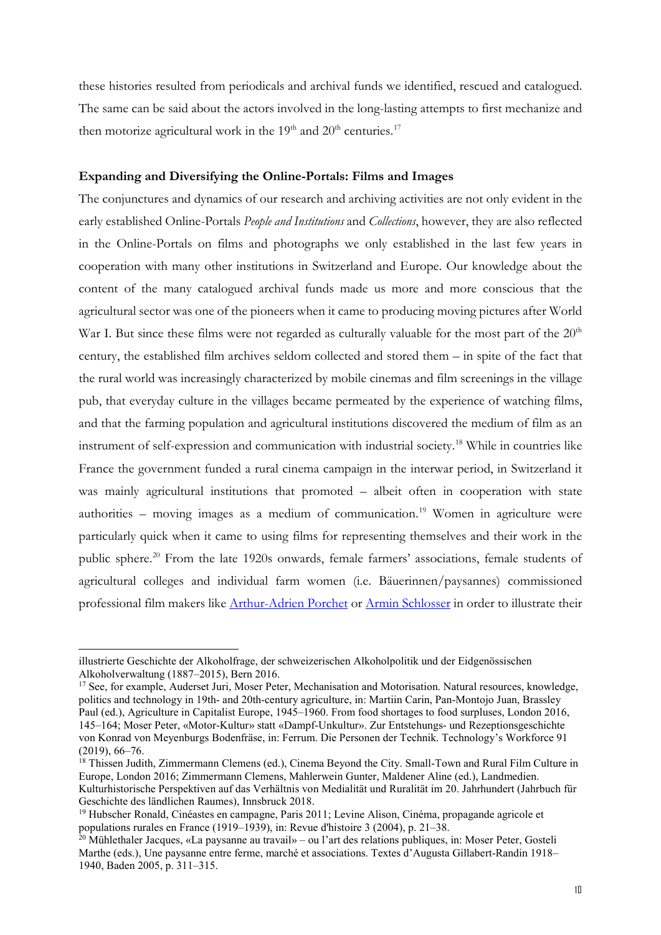these histories resulted from periodicals and archival funds we identified, rescued and catalogued. The same can be said about the actors involved in the long-lasting attempts to first mechanize and then motorize agricultural work in the  $19<sup>th</sup>$  and  $20<sup>th</sup>$  centuries.<sup>[17](#page-9-0)</sup>

#### **Expanding and Diversifying the Online-Portals: Films and Images**

The conjunctures and dynamics of our research and archiving activities are not only evident in the early established Online-Portals *People and Institutions* and *Collections*, however, they are also reflected in the Online-Portals on films and photographs we only established in the last few years in cooperation with many other institutions in Switzerland and Europe. Our knowledge about the content of the many catalogued archival funds made us more and more conscious that the agricultural sector was one of the pioneers when it came to producing moving pictures after World War I. But since these films were not regarded as culturally valuable for the most part of the  $20<sup>th</sup>$ century, the established film archives seldom collected and stored them – in spite of the fact that the rural world was increasingly characterized by mobile cinemas and film screenings in the village pub, that everyday culture in the villages became permeated by the experience of watching films, and that the farming population and agricultural institutions discovered the medium of film as an instrument of self-expression and communication with industrial society.[18](#page-9-1) While in countries like France the government funded a rural cinema campaign in the interwar period, in Switzerland it was mainly agricultural institutions that promoted – albeit often in cooperation with state authorities – moving images as a medium of communication.<sup>[19](#page-9-2)</sup> Women in agriculture were particularly quick when it came to using films for representing themselves and their work in the public sphere.<sup>[20](#page-9-3)</sup> From the late 1920s onwards, female farmers' associations, female students of agricultural colleges and individual farm women (i.e. Bäuerinnen/paysannes) commissioned professional film makers like [Arthur-Adrien Porchet](https://www.histoirerurale.ch/pers/personnes/Porchet,_Arthur_Adrien_(1879_1956)__DB2740.html) or [Armin Schlosser](https://www.histoirerurale.ch/pers/personnes/Schlosser,_Armin_(_1995)__DB6021.html) in order to illustrate their

illustrierte Geschichte der Alkoholfrage, der schweizerischen Alkoholpolitik und der Eidgenössischen Alkoholverwaltung (1887–2015), Bern 2016.

<span id="page-9-0"></span><sup>&</sup>lt;sup>17</sup> See, for example, Auderset Juri, Moser Peter, Mechanisation and Motorisation. Natural resources, knowledge, politics and technology in 19th- and 20th-century agriculture, in: Martiin Carin, Pan-Montojo Juan, Brassley Paul (ed.), Agriculture in Capitalist Europe, 1945–1960. From food shortages to food surpluses, London 2016, 145–164; Moser Peter, «Motor-Kultur» statt «Dampf-Unkultur». Zur Entstehungs- und Rezeptionsgeschichte von Konrad von Meyenburgs Bodenfräse, in: Ferrum. Die Personen der Technik. Technology's Workforce 91 (2019), 66–76.

<span id="page-9-1"></span><sup>&</sup>lt;sup>18</sup> Thissen Judith, Zimmermann Clemens (ed.), Cinema Beyond the City. Small-Town and Rural Film Culture in Europe, London 2016; Zimmermann Clemens, Mahlerwein Gunter, Maldener Aline (ed.), Landmedien. Kulturhistorische Perspektiven auf das Verhältnis von Medialität und Ruralität im 20. Jahrhundert (Jahrbuch für Geschichte des ländlichen Raumes), Innsbruck 2018.

<span id="page-9-2"></span><sup>&</sup>lt;sup>19</sup> Hubscher Ronald, Cinéastes en campagne, Paris 2011; Levine Alison, Cinéma, propagande agricole et populations rurales en France (1919–1939), in: Revue d'histoire 3 (2004), p. 21–38.

<span id="page-9-3"></span> $^{20}$  Mühlethaler Jacques, «La paysanne au travail» – ou l'art des relations publiques, in: Moser Peter, Gosteli Marthe (eds.), Une paysanne entre ferme, marché et associations. Textes d'Augusta Gillabert-Randin 1918– 1940, Baden 2005, p. 311–315.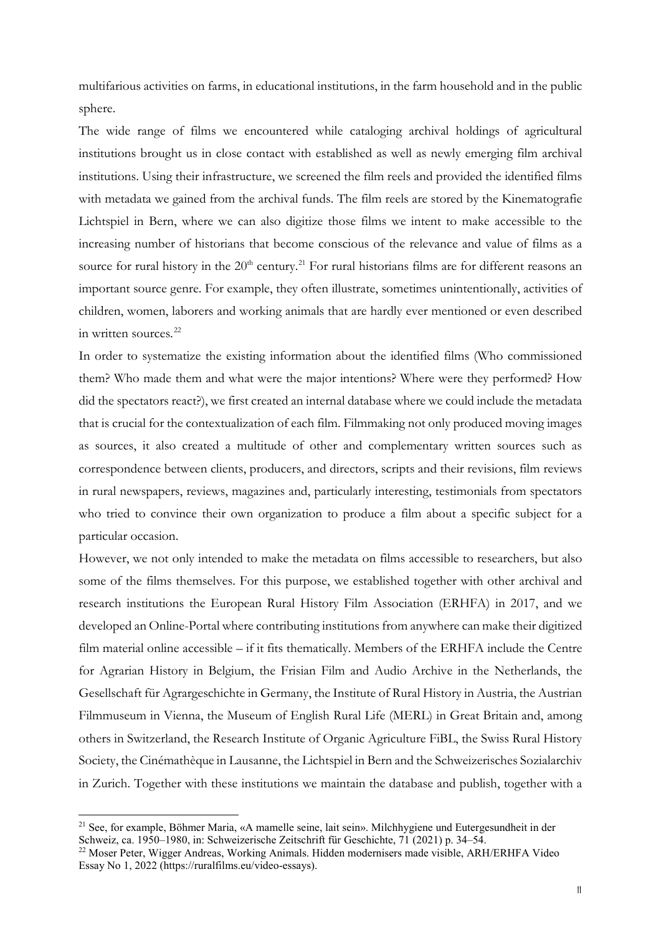multifarious activities on farms, in educational institutions, in the farm household and in the public sphere.

The wide range of films we encountered while cataloging archival holdings of agricultural institutions brought us in close contact with established as well as newly emerging film archival institutions. Using their infrastructure, we screened the film reels and provided the identified films with metadata we gained from the archival funds. The film reels are stored by the Kinematografie Lichtspiel in Bern, where we can also digitize those films we intent to make accessible to the increasing number of historians that become conscious of the relevance and value of films as a source for rural history in the  $20<sup>th</sup>$  century.<sup>[21](#page-10-0)</sup> For rural historians films are for different reasons an important source genre. For example, they often illustrate, sometimes unintentionally, activities of children, women, laborers and working animals that are hardly ever mentioned or even described in written sources.<sup>[22](#page-10-1)</sup>

In order to systematize the existing information about the identified films (Who commissioned them? Who made them and what were the major intentions? Where were they performed? How did the spectators react?), we first created an internal database where we could include the metadata that is crucial for the contextualization of each film. Filmmaking not only produced moving images as sources, it also created a multitude of other and complementary written sources such as correspondence between clients, producers, and directors, scripts and their revisions, film reviews in rural newspapers, reviews, magazines and, particularly interesting, testimonials from spectators who tried to convince their own organization to produce a film about a specific subject for a particular occasion.

However, we not only intended to make the metadata on films accessible to researchers, but also some of the films themselves. For this purpose, we established together with other archival and research institutions the European Rural History Film Association (ERHFA) in 2017, and we developed an Online-Portal where contributing institutions from anywhere can make their digitized film material online accessible – if it fits thematically. Members of the ERHFA include the Centre for Agrarian History in Belgium, the Frisian Film and Audio Archive in the Netherlands, the Gesellschaft für Agrargeschichte in Germany, the Institute of Rural History in Austria, the Austrian Filmmuseum in Vienna, the Museum of English Rural Life (MERL) in Great Britain and, among others in Switzerland, the Research Institute of Organic Agriculture FiBL, the Swiss Rural History Society, the Cinémathèque in Lausanne, the Lichtspiel in Bern and the Schweizerisches Sozialarchiv in Zurich. Together with these institutions we maintain the database and publish, together with a

<span id="page-10-0"></span><sup>&</sup>lt;sup>21</sup> See, for example, Böhmer Maria, «A mamelle seine, lait sein». Milchhygiene und Eutergesundheit in der Schweiz, ca. 1950–1980, in: Schweizerische Zeitschrift für Geschichte, 71 (2021) p. 34–54.

<span id="page-10-1"></span><sup>&</sup>lt;sup>22</sup> Moser Peter, Wigger Andreas, Working Animals. Hidden modernisers made visible, ARH/ERHFA Video Essay No 1, 2022 (https://ruralfilms.eu/video-essays).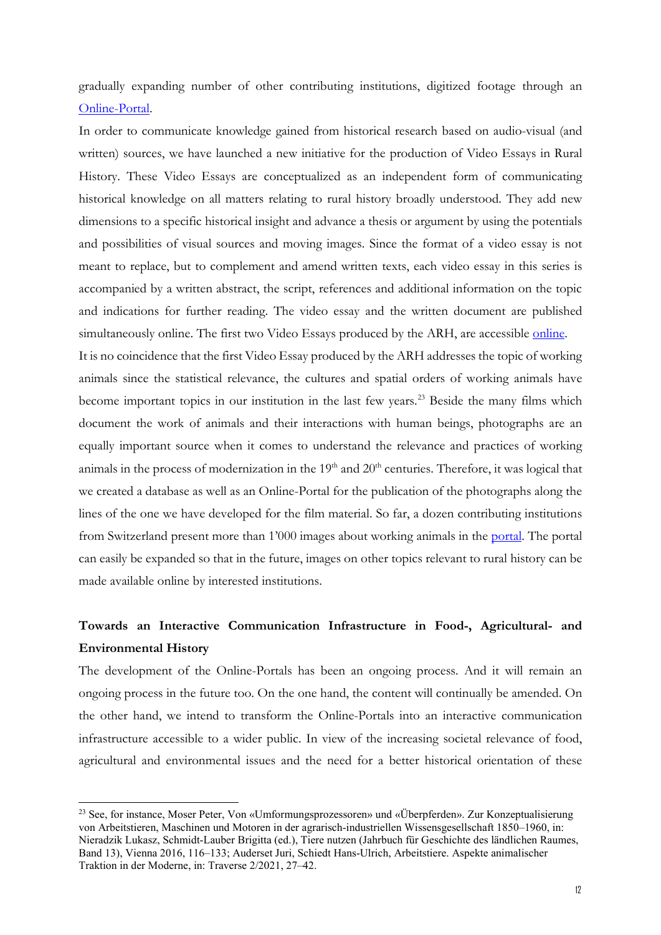gradually expanding number of other contributing institutions, digitized footage through an [Online-Portal.](https://ruralfilms.eu/)

In order to communicate knowledge gained from historical research based on audio-visual (and written) sources, we have launched a new initiative for the production of Video Essays in Rural History. These Video Essays are conceptualized as an independent form of communicating historical knowledge on all matters relating to rural history broadly understood. They add new dimensions to a specific historical insight and advance a thesis or argument by using the potentials and possibilities of visual sources and moving images. Since the format of a video essay is not meant to replace, but to complement and amend written texts, each video essay in this series is accompanied by a written abstract, the script, references and additional information on the topic and indications for further reading. The video essay and the written document are published simultaneously [online.](https://ruralfilms.eu/video-essays) The first two Video Essays produced by the ARH, are accessible online.

It is no coincidence that the first Video Essay produced by the ARH addresses the topic of working animals since the statistical relevance, the cultures and spatial orders of working animals have become important topics in our institution in the last few years.<sup>[23](#page-11-0)</sup> Beside the many films which document the work of animals and their interactions with human beings, photographs are an equally important source when it comes to understand the relevance and practices of working animals in the process of modernization in the  $19<sup>th</sup>$  and  $20<sup>th</sup>$  centuries. Therefore, it was logical that we created a database as well as an Online-Portal for the publication of the photographs along the lines of the one we have developed for the film material. So far, a dozen contributing institutions from Switzerland present more than 1'000 images about working animals in the [portal.](https://images-histoirerurale.ch/arbeitstiere_online/index.php?function=show_static_page&id_static_page=1) The portal can easily be expanded so that in the future, images on other topics relevant to rural history can be made available online by interested institutions.

## **Towards an Interactive Communication Infrastructure in Food-, Agricultural- and Environmental History**

The development of the Online-Portals has been an ongoing process. And it will remain an ongoing process in the future too. On the one hand, the content will continually be amended. On the other hand, we intend to transform the Online-Portals into an interactive communication infrastructure accessible to a wider public. In view of the increasing societal relevance of food, agricultural and environmental issues and the need for a better historical orientation of these

<span id="page-11-0"></span><sup>23</sup> See, for instance, Moser Peter, Von «Umformungsprozessoren» und «Überpferden». Zur Konzeptualisierung von Arbeitstieren, Maschinen und Motoren in der agrarisch-industriellen Wissensgesellschaft 1850–1960, in: Nieradzik Lukasz, Schmidt-Lauber Brigitta (ed.), Tiere nutzen (Jahrbuch für Geschichte des ländlichen Raumes, Band 13), Vienna 2016, 116–133; Auderset Juri, Schiedt Hans-Ulrich, Arbeitstiere. Aspekte animalischer Traktion in der Moderne, in: Traverse 2/2021, 27–42.